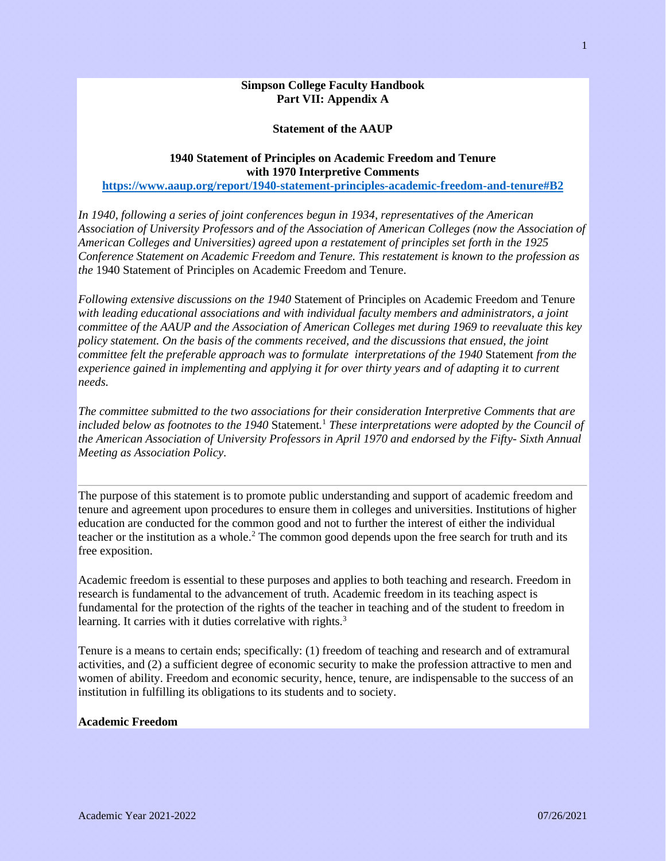### **Simpson College Faculty Handbook Part VII: Appendix A**

#### **Statement of the AAUP**

### **1940 Statement of Principles on Academic Freedom and Tenure with 1970 Interpretive Comments**

**<https://www.aaup.org/report/1940-statement-principles-academic-freedom-and-tenure#B2>**

*In 1940, following a series of joint conferences begun in 1934, representatives of the American Association of University Professors and of the Association of American Colleges (now the Association of American Colleges and Universities) agreed upon a restatement of principles set forth in the 1925 Conference Statement on Academic Freedom and Tenure. This restatement is known to the profession as the* 1940 Statement of Principles on Academic Freedom and Tenure*.*

*Following extensive discussions on the 1940* Statement of Principles on Academic Freedom and Tenure *with leading educational associations and with individual faculty members and administrators, a joint committee of the AAUP and the Association of American Colleges met during 1969 to reevaluate this key policy statement. On the basis of the comments received, and the discussions that ensued, the joint committee felt the preferable approach was to formulate interpretations of the 1940* Statement *from the experience gained in implementing and applying it for over thirty years and of adapting it to current needs.*

*The committee submitted to the two associations for their consideration Interpretive Comments that are included below as footnotes to the 1940* Statement*[.](https://www.aaup.org/report/1940-statement-principles-academic-freedom-and-tenure#1)* <sup>1</sup> *These interpretations were adopted by the Council of the American Association of University Professors in April 1970 and endorsed by the Fifty- Sixth Annual Meeting as Association Policy.*

The purpose of this statement is to promote public understanding and support of academic freedom and tenure and agreement upon procedures to ensure them in colleges and universities. Institutions of higher education are conducted for the common good and not to further the interest of either the individual teacher or the institution as a whole[.](https://www.aaup.org/report/1940-statement-principles-academic-freedom-and-tenure#2)<sup>2</sup> The common good depends upon the free search for truth and its free exposition.

Academic freedom is essential to these purposes and applies to both teaching and research. Freedom in research is fundamental to the advancement of truth. Academic freedom in its teaching aspect is fundamental for the protection of the rights of the teacher in teaching and of the student to freedom in learning. It carries with it duties correlative with rights.<sup>[3](https://www.aaup.org/report/1940-statement-principles-academic-freedom-and-tenure#3)</sup>

Tenure is a means to certain ends; specifically: (1) freedom of teaching and research and of extramural activities, and (2) a sufficient degree of economic security to make the profession attractive to men and women of ability. Freedom and economic security, hence, tenure, are indispensable to the success of an institution in fulfilling its obligations to its students and to society.

#### **Academic Freedom**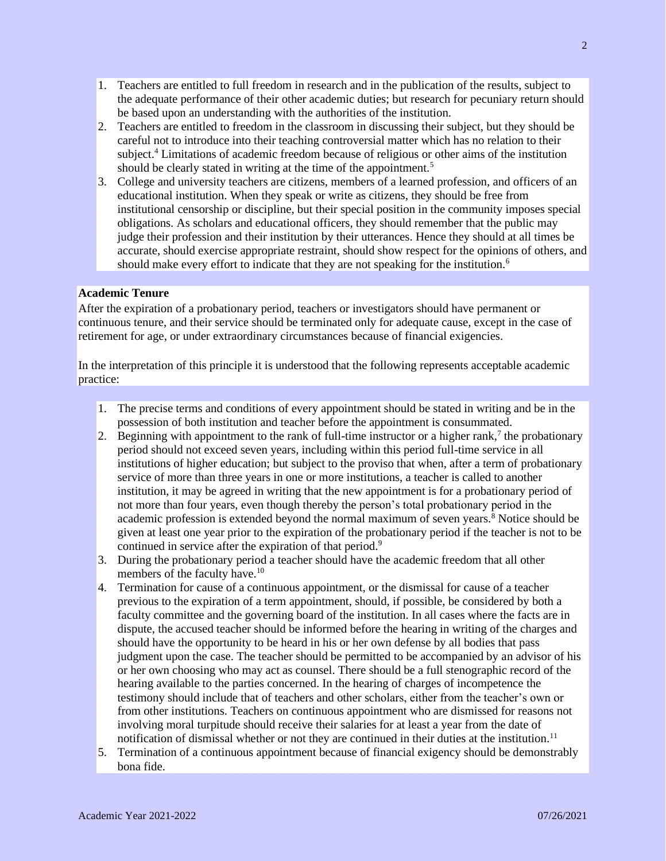- 1. Teachers are entitled to full freedom in research and in the publication of the results, subject to the adequate performance of their other academic duties; but research for pecuniary return should be based upon an understanding with the authorities of the institution.
- 2. Teachers are entitled to freedom in the classroom in discussing their subject, but they should be careful not to introduce into their teaching controversial matter which has no relation to their subject.[4](https://www.aaup.org/report/1940-statement-principles-academic-freedom-and-tenure#4) Limitations of academic freedom because of religious or other aims of the institution should be clearly stated in writing at the time of the appointment.<sup>[5](https://www.aaup.org/report/1940-statement-principles-academic-freedom-and-tenure#5)</sup>
- 3. College and university teachers are citizens, members of a learned profession, and officers of an educational institution. When they speak or write as citizens, they should be free from institutional censorship or discipline, but their special position in the community imposes special obligations. As scholars and educational officers, they should remember that the public may judge their profession and their institution by their utterances. Hence they should at all times be accurate, should exercise appropriate restraint, should show respect for the opinions of others, and should make every effort to indicate that they are not speaking for the institution.<sup>[6](https://www.aaup.org/report/1940-statement-principles-academic-freedom-and-tenure#6)</sup>

# **Academic Tenure**

After the expiration of a probationary period, teachers or investigators should have permanent or continuous tenure, and their service should be terminated only for adequate cause, except in the case of retirement for age, or under extraordinary circumstances because of financial exigencies.

In the interpretation of this principle it is understood that the following represents acceptable academic practice:

- 1. The precise terms and conditions of every appointment should be stated in writing and be in the possession of both institution and teacher before the appointment is consummated.
- 2. Beginning with appointment to the rank of full-time instructor or a higher rank[,](https://www.aaup.org/report/1940-statement-principles-academic-freedom-and-tenure#7)<sup>7</sup> the probationary period should not exceed seven years, including within this period full-time service in all institutions of higher education; but subject to the proviso that when, after a term of probationary service of more than three years in one or more institutions, a teacher is called to another institution, it may be agreed in writing that the new appointment is for a probationary period of not more than four years, even though thereby the person's total probationary period in the academic profession is extended beyond the normal maximum of seven years[.](https://www.aaup.org/report/1940-statement-principles-academic-freedom-and-tenure#8)<sup>8</sup> Notice should be given at least one year prior to the expiration of the probationary period if the teacher is not to be continued in service after the expiration of that period.<sup>[9](https://www.aaup.org/report/1940-statement-principles-academic-freedom-and-tenure#9)</sup>
- 3. During the probationary period a teacher should have the academic freedom that all other members of the faculty have.<sup>[10](https://www.aaup.org/report/1940-statement-principles-academic-freedom-and-tenure#10)</sup>
- 4. Termination for cause of a continuous appointment, or the dismissal for cause of a teacher previous to the expiration of a term appointment, should, if possible, be considered by both a faculty committee and the governing board of the institution. In all cases where the facts are in dispute, the accused teacher should be informed before the hearing in writing of the charges and should have the opportunity to be heard in his or her own defense by all bodies that pass judgment upon the case. The teacher should be permitted to be accompanied by an advisor of his or her own choosing who may act as counsel. There should be a full stenographic record of the hearing available to the parties concerned. In the hearing of charges of incompetence the testimony should include that of teachers and other scholars, either from the teacher's own or from other institutions. Teachers on continuous appointment who are dismissed for reasons not involving moral turpitude should receive their salaries for at least a year from the date of notification of dismissal whether or not they are continued in their duties at the institution.<sup>[11](https://www.aaup.org/report/1940-statement-principles-academic-freedom-and-tenure#11)</sup>
- 5. Termination of a continuous appointment because of financial exigency should be demonstrably bona fide.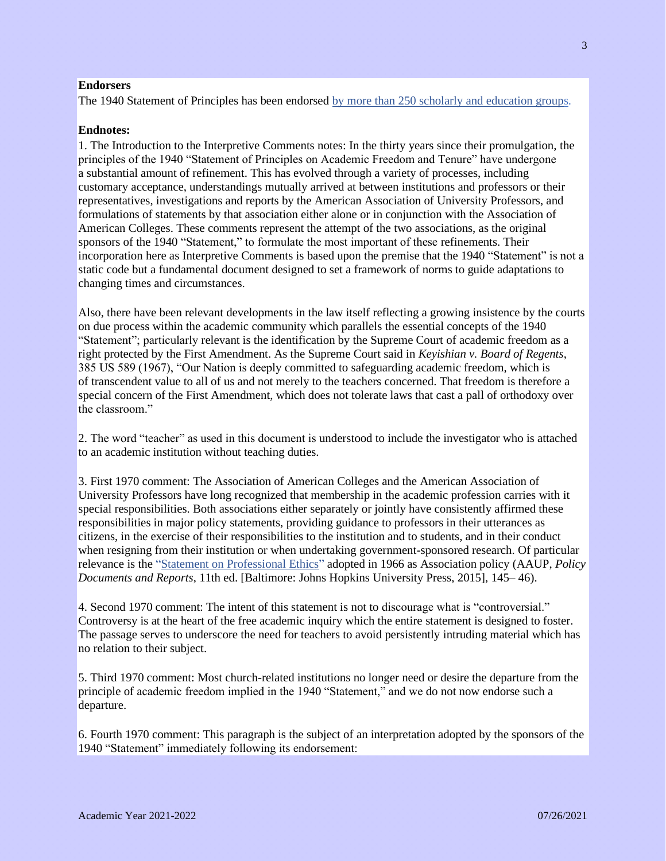## **Endorsers**

The 1940 Statement of Principles has been endorsed [by more than 250 scholarly and education groups.](https://www.aaup.org/endorsers-1940-statement)

#### **Endnotes:**

1. The Introduction to the Interpretive Comments notes: In the thirty years since their promulgation, the principles of the 1940 "Statement of Principles on Academic Freedom and Tenure" have undergone a substantial amount of refinement. This has evolved through a variety of processes, including customary acceptance, understandings mutually arrived at between institutions and professors or their representatives, investigations and reports by the American Association of University Professors, and formulations of statements by that association either alone or in conjunction with the Association of American Colleges. These comments represent the attempt of the two associations, as the original sponsors of the 1940 "Statement," to formulate the most important of these refinements. Their incorporation here as Interpretive Comments is based upon the premise that the 1940 "Statement" is not a static code but a fundamental document designed to set a framework of norms to guide adaptations to changing times and circumstances.

Also, there have been relevant developments in the law itself reflecting a growing insistence by the courts on due process within the academic community which parallels the essential concepts of the 1940 "Statement"; particularly relevant is the identification by the Supreme Court of academic freedom as a right protected by the First Amendment. As the Supreme Court said in *Keyishian v. Board of Regents*, 385 US 589 (1967), "Our Nation is deeply committed to safeguarding academic freedom, which is of transcendent value to all of us and not merely to the teachers concerned. That freedom is therefore a special concern of the First Amendment, which does not tolerate laws that cast a pall of orthodoxy over the classroom."

2. The word "teacher" as used in this document is understood to include the investigator who is attached to an academic institution without teaching duties.

3. First 1970 comment: The Association of American Colleges and the American Association of University Professors have long recognized that membership in the academic profession carries with it special responsibilities. Both associations either separately or jointly have consistently affirmed these responsibilities in major policy statements, providing guidance to professors in their utterances as citizens, in the exercise of their responsibilities to the institution and to students, and in their conduct when resigning from their institution or when undertaking government-sponsored research. Of particular relevance is the "Statement on [Professional Ethics"](http://www.aaup.org/report/statement-professional-ethics) adopted in 1966 as Association policy (AAUP, *Policy Documents and Reports*, 11th ed. [Baltimore: Johns Hopkins University Press, 2015], 145– 46).

4. Second 1970 comment: The intent of this statement is not to discourage what is "controversial." Controversy is at the heart of the free academic inquiry which the entire statement is designed to foster. The passage serves to underscore the need for teachers to avoid persistently intruding material which has no relation to their subject.

5. Third 1970 comment: Most church-related institutions no longer need or desire the departure from the principle of academic freedom implied in the 1940 "Statement," and we do not now endorse such a departure.

6. Fourth 1970 comment: This paragraph is the subject of an interpretation adopted by the sponsors of the 1940 "Statement" immediately following its endorsement: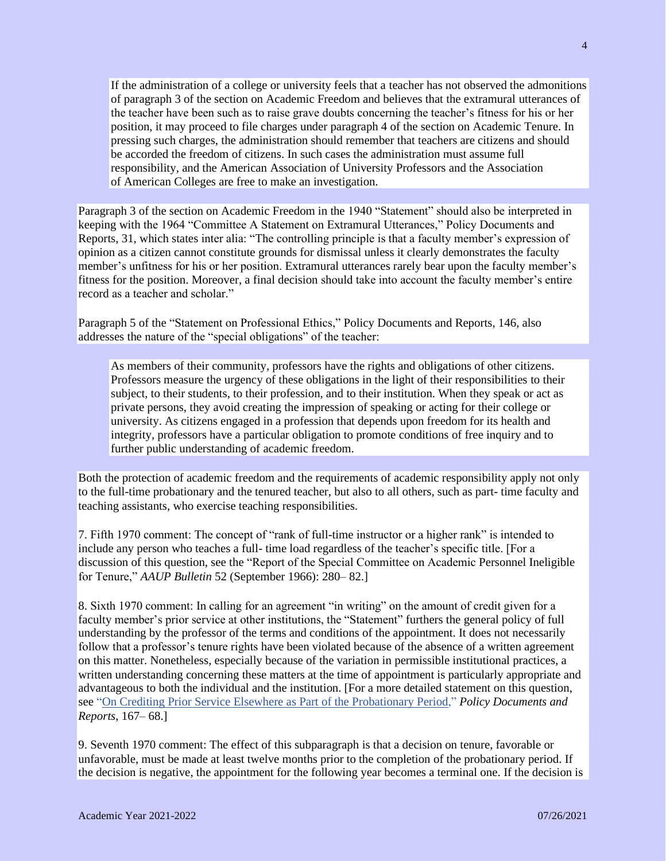If the administration of a college or university feels that a teacher has not observed the admonitions of paragraph 3 of the section on Academic Freedom and believes that the extramural utterances of the teacher have been such as to raise grave doubts concerning the teacher's fitness for his or her position, it may proceed to file charges under paragraph 4 of the section on Academic Tenure. In pressing such charges, the administration should remember that teachers are citizens and should be accorded the freedom of citizens. In such cases the administration must assume full responsibility, and the American Association of University Professors and the Association of American Colleges are free to make an investigation.

Paragraph 3 of the section on Academic Freedom in the 1940 "Statement" should also be interpreted in keeping with the 1964 "Committee A Statement on Extramural Utterances," Policy Documents and Reports, 31, which states inter alia: "The controlling principle is that a faculty member's expression of opinion as a citizen cannot constitute grounds for dismissal unless it clearly demonstrates the faculty member's unfitness for his or her position. Extramural utterances rarely bear upon the faculty member's fitness for the position. Moreover, a final decision should take into account the faculty member's entire record as a teacher and scholar."

Paragraph 5 of the "Statement on Professional Ethics," Policy Documents and Reports, 146, also addresses the nature of the "special obligations" of the teacher:

As members of their community, professors have the rights and obligations of other citizens. Professors measure the urgency of these obligations in the light of their responsibilities to their subject, to their students, to their profession, and to their institution. When they speak or act as private persons, they avoid creating the impression of speaking or acting for their college or university. As citizens engaged in a profession that depends upon freedom for its health and integrity, professors have a particular obligation to promote conditions of free inquiry and to further public understanding of academic freedom.

Both the protection of academic freedom and the requirements of academic responsibility apply not only to the full-time probationary and the tenured teacher, but also to all others, such as part- time faculty and teaching assistants, who exercise teaching responsibilities.

7. Fifth 1970 comment: The concept of "rank of full-time instructor or a higher rank" is intended to include any person who teaches a full- time load regardless of the teacher's specific title. [For a discussion of this question, see the "Report of the Special Committee on Academic Personnel Ineligible for Tenure," *AAUP Bulletin* 52 (September 1966): 280– 82.]

8. Sixth 1970 comment: In calling for an agreement "in writing" on the amount of credit given for a faculty member's prior service at other institutions, the "Statement" furthers the general policy of full understanding by the professor of the terms and conditions of the appointment. It does not necessarily follow that a professor's tenure rights have been violated because of the absence of a written agreement on this matter. Nonetheless, especially because of the variation in permissible institutional practices, a written understanding concerning these matters at the time of appointment is particularly appropriate and advantageous to both the individual and the institution. [For a more detailed statement on this question, see "On Crediting Prior Service [Elsewhere as Part of the Probationary Period,](http://www.aaup.org/report/crediting-prior-service-elsewhere-part-probationary-period)" *Policy Documents and Reports*, 167– 68.]

9. Seventh 1970 comment: The effect of this subparagraph is that a decision on tenure, favorable or unfavorable, must be made at least twelve months prior to the completion of the probationary period. If the decision is negative, the appointment for the following year becomes a terminal one. If the decision is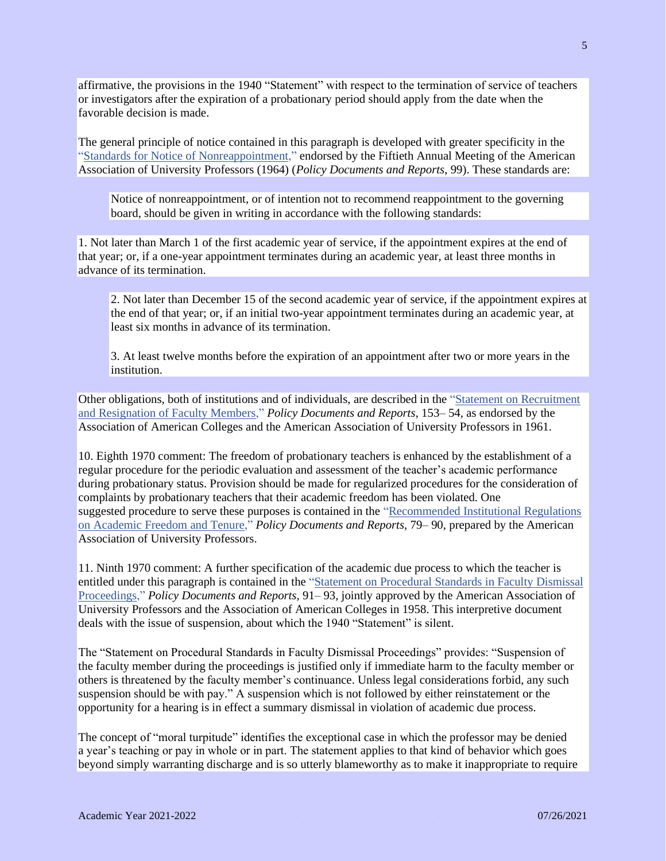affirmative, the provisions in the 1940 "Statement" with respect to the termination of service of teachers or investigators after the expiration of a probationary period should apply from the date when the favorable decision is made.

The general principle of notice contained in this paragraph is developed with greater specificity in the ["Standards for Notice of Nonreappointment,](http://www.aaup.org/report/standards-notice-nonreappointment)" endorsed by the Fiftieth Annual Meeting of the American Association of University Professors (1964) (*Policy Documents and Reports*, 99). These standards are:

Notice of nonreappointment, or of intention not to recommend reappointment to the governing board, should be given in writing in accordance with the following standards:

1. Not later than March 1 of the first academic year of service, if the appointment expires at the end of that year; or, if a one-year appointment terminates during an academic year, at least three months in advance of its termination.

2. Not later than December 15 of the second academic year of service, if the appointment expires at the end of that year; or, if an initial two-year appointment terminates during an academic year, at least six months in advance of its termination.

3. At least twelve months before the expiration of an appointment after two or more years in the institution.

Other obligations, both of institutions and of individuals, are described in the ["Statement on Recruitment](http://www.aaup.org/report/statement-recruitment-and-resignation-faculty-members)  and [Resignation of Faculty Members,](http://www.aaup.org/report/statement-recruitment-and-resignation-faculty-members)" *Policy Documents and Reports*, 153– 54, as endorsed by the Association of American Colleges and the American Association of University Professors in 1961.

10. Eighth 1970 comment: The freedom of probationary teachers is enhanced by the establishment of a regular procedure for the periodic evaluation and assessment of the teacher's academic performance during probationary status. Provision should be made for regularized procedures for the consideration of complaints by probationary teachers that their academic freedom has been violated. One suggested procedure to serve these purposes is contained in the ["Recommended Institutional Regulations](http://www.aaup.org/report/recommended-institutional-regulations-academic-freedom-and-tenure)  on Academic [Freedom and Tenure,](http://www.aaup.org/report/recommended-institutional-regulations-academic-freedom-and-tenure)" *Policy Documents and Reports*, 79– 90, prepared by the American Association of University Professors.

11. Ninth 1970 comment: A further specification of the academic due process to which the teacher is entitled under this paragraph is contained in the "Statement on Procedural [Standards in Faculty Dismissal](http://www.aaup.org/report/statement-procedural-standards-faculty-dismissal-proceedings)  [Proceedings,](http://www.aaup.org/report/statement-procedural-standards-faculty-dismissal-proceedings)" *Policy Documents and Reports*, 91– 93, jointly approved by the American Association of University Professors and the Association of American Colleges in 1958. This interpretive document deals with the issue of suspension, about which the 1940 "Statement" is silent.

The "Statement on Procedural Standards in Faculty Dismissal Proceedings" provides: "Suspension of the faculty member during the proceedings is justified only if immediate harm to the faculty member or others is threatened by the faculty member's continuance. Unless legal considerations forbid, any such suspension should be with pay." A suspension which is not followed by either reinstatement or the opportunity for a hearing is in effect a summary dismissal in violation of academic due process.

The concept of "moral turpitude" identifies the exceptional case in which the professor may be denied a year's teaching or pay in whole or in part. The statement applies to that kind of behavior which goes beyond simply warranting discharge and is so utterly blameworthy as to make it inappropriate to require